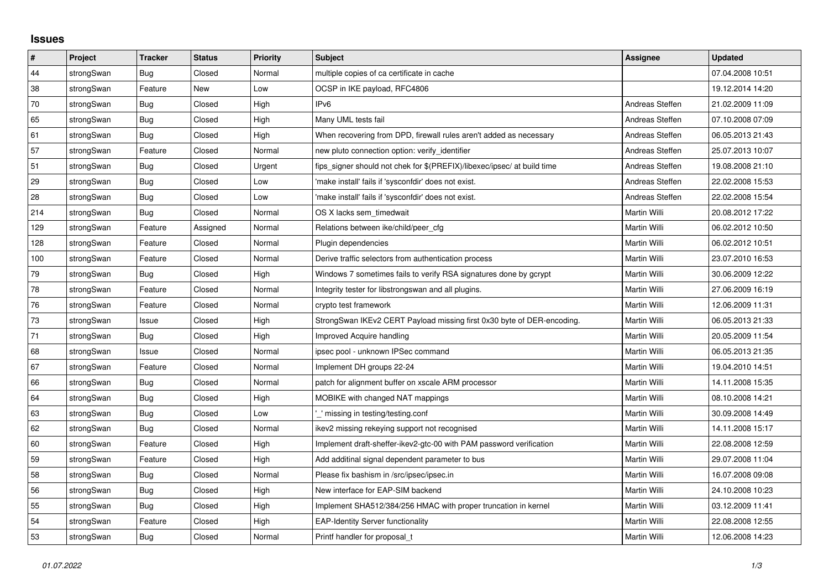## **Issues**

| $\sharp$ | Project    | <b>Tracker</b> | <b>Status</b> | <b>Priority</b> | <b>Subject</b>                                                          | <b>Assignee</b>     | <b>Updated</b>   |
|----------|------------|----------------|---------------|-----------------|-------------------------------------------------------------------------|---------------------|------------------|
| 44       | strongSwan | Bug            | Closed        | Normal          | multiple copies of ca certificate in cache                              |                     | 07.04.2008 10:51 |
| 38       | strongSwan | Feature        | New           | Low             | OCSP in IKE payload, RFC4806                                            |                     | 19.12.2014 14:20 |
| 70       | strongSwan | <b>Bug</b>     | Closed        | High            | IPv6                                                                    | Andreas Steffen     | 21.02.2009 11:09 |
| 65       | strongSwan | <b>Bug</b>     | Closed        | High            | Many UML tests fail                                                     | Andreas Steffen     | 07.10.2008 07:09 |
| 61       | strongSwan | <b>Bug</b>     | Closed        | High            | When recovering from DPD, firewall rules aren't added as necessary      | Andreas Steffen     | 06.05.2013 21:43 |
| 57       | strongSwan | Feature        | Closed        | Normal          | new pluto connection option: verify identifier                          | Andreas Steffen     | 25.07.2013 10:07 |
| 51       | strongSwan | Bug            | Closed        | Urgent          | fips_signer should not chek for \$(PREFIX)/libexec/ipsec/ at build time | Andreas Steffen     | 19.08.2008 21:10 |
| 29       | strongSwan | <b>Bug</b>     | Closed        | Low             | 'make install' fails if 'sysconfdir' does not exist.                    | Andreas Steffen     | 22.02.2008 15:53 |
| 28       | strongSwan | Bug            | Closed        | Low             | 'make install' fails if 'sysconfdir' does not exist.                    | Andreas Steffen     | 22.02.2008 15:54 |
| 214      | strongSwan | <b>Bug</b>     | Closed        | Normal          | OS X lacks sem timedwait                                                | Martin Willi        | 20.08.2012 17:22 |
| 129      | strongSwan | Feature        | Assigned      | Normal          | Relations between ike/child/peer_cfg                                    | Martin Willi        | 06.02.2012 10:50 |
| 128      | strongSwan | Feature        | Closed        | Normal          | Plugin dependencies                                                     | Martin Willi        | 06.02.2012 10:51 |
| 100      | strongSwan | Feature        | Closed        | Normal          | Derive traffic selectors from authentication process                    | Martin Willi        | 23.07.2010 16:53 |
| 79       | strongSwan | Bug            | Closed        | High            | Windows 7 sometimes fails to verify RSA signatures done by gcrypt       | Martin Willi        | 30.06.2009 12:22 |
| 78       | strongSwan | Feature        | Closed        | Normal          | Integrity tester for libstrongswan and all plugins.                     | Martin Willi        | 27.06.2009 16:19 |
| 76       | strongSwan | Feature        | Closed        | Normal          | crypto test framework                                                   | <b>Martin Willi</b> | 12.06.2009 11:31 |
| $73\,$   | strongSwan | Issue          | Closed        | High            | StrongSwan IKEv2 CERT Payload missing first 0x30 byte of DER-encoding.  | Martin Willi        | 06.05.2013 21:33 |
| 71       | strongSwan | Bug            | Closed        | High            | <b>Improved Acquire handling</b>                                        | Martin Willi        | 20.05.2009 11:54 |
| 68       | strongSwan | Issue          | Closed        | Normal          | ipsec pool - unknown IPSec command                                      | Martin Willi        | 06.05.2013 21:35 |
| 67       | strongSwan | Feature        | Closed        | Normal          | Implement DH groups 22-24                                               | Martin Willi        | 19.04.2010 14:51 |
| 66       | strongSwan | <b>Bug</b>     | Closed        | Normal          | patch for alignment buffer on xscale ARM processor                      | Martin Willi        | 14.11.2008 15:35 |
| 64       | strongSwan | Bug            | Closed        | High            | MOBIKE with changed NAT mappings                                        | Martin Willi        | 08.10.2008 14:21 |
| 63       | strongSwan | <b>Bug</b>     | Closed        | Low             | missing in testing/testing.conf                                         | Martin Willi        | 30.09.2008 14:49 |
| 62       | strongSwan | Bug            | Closed        | Normal          | ikev2 missing rekeying support not recognised                           | Martin Willi        | 14.11.2008 15:17 |
| 60       | strongSwan | Feature        | Closed        | High            | Implement draft-sheffer-ikev2-gtc-00 with PAM password verification     | Martin Willi        | 22.08.2008 12:59 |
| 59       | strongSwan | Feature        | Closed        | High            | Add additinal signal dependent parameter to bus                         | Martin Willi        | 29.07.2008 11:04 |
| 58       | strongSwan | <b>Bug</b>     | Closed        | Normal          | Please fix bashism in /src/ipsec/ipsec.in                               | Martin Willi        | 16.07.2008 09:08 |
| 56       | strongSwan | <b>Bug</b>     | Closed        | High            | New interface for EAP-SIM backend                                       | Martin Willi        | 24.10.2008 10:23 |
| 55       | strongSwan | Bug            | Closed        | High            | Implement SHA512/384/256 HMAC with proper truncation in kernel          | Martin Willi        | 03.12.2009 11:41 |
| 54       | strongSwan | Feature        | Closed        | High            | <b>EAP-Identity Server functionality</b>                                | Martin Willi        | 22.08.2008 12:55 |
| 53       | strongSwan | Bug            | Closed        | Normal          | Printf handler for proposal t                                           | Martin Willi        | 12.06.2008 14:23 |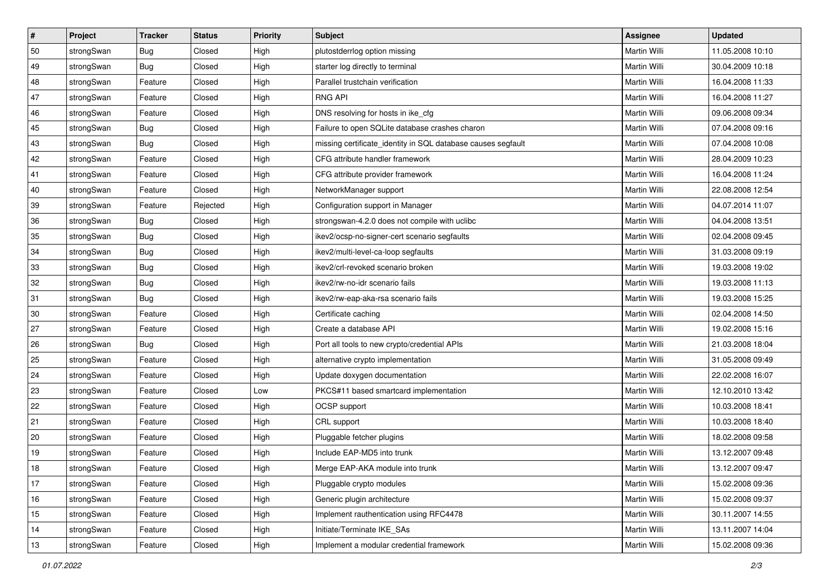| $\vert$ # | Project    | <b>Tracker</b> | <b>Status</b> | Priority | <b>Subject</b>                                               | <b>Assignee</b>     | <b>Updated</b>   |
|-----------|------------|----------------|---------------|----------|--------------------------------------------------------------|---------------------|------------------|
| 50        | strongSwan | <b>Bug</b>     | Closed        | High     | plutostderrlog option missing                                | Martin Willi        | 11.05.2008 10:10 |
| 49        | strongSwan | Bug            | Closed        | High     | starter log directly to terminal                             | Martin Willi        | 30.04.2009 10:18 |
| 48        | strongSwan | Feature        | Closed        | High     | Parallel trustchain verification                             | <b>Martin Willi</b> | 16.04.2008 11:33 |
| 47        | strongSwan | Feature        | Closed        | High     | <b>RNG API</b>                                               | Martin Willi        | 16.04.2008 11:27 |
| 46        | strongSwan | Feature        | Closed        | High     | DNS resolving for hosts in ike_cfg                           | Martin Willi        | 09.06.2008 09:34 |
| 45        | strongSwan | <b>Bug</b>     | Closed        | High     | Failure to open SQLite database crashes charon               | Martin Willi        | 07.04.2008 09:16 |
| 43        | strongSwan | Bug            | Closed        | High     | missing certificate_identity in SQL database causes segfault | Martin Willi        | 07.04.2008 10:08 |
| 42        | strongSwan | Feature        | Closed        | High     | CFG attribute handler framework                              | Martin Willi        | 28.04.2009 10:23 |
| 41        | strongSwan | Feature        | Closed        | High     | CFG attribute provider framework                             | Martin Willi        | 16.04.2008 11:24 |
| 40        | strongSwan | Feature        | Closed        | High     | NetworkManager support                                       | Martin Willi        | 22.08.2008 12:54 |
| 39        | strongSwan | Feature        | Rejected      | High     | Configuration support in Manager                             | Martin Willi        | 04.07.2014 11:07 |
| 36        | strongSwan | <b>Bug</b>     | Closed        | High     | strongswan-4.2.0 does not compile with uclibc                | Martin Willi        | 04.04.2008 13:51 |
| 35        | strongSwan | Bug            | Closed        | High     | ikev2/ocsp-no-signer-cert scenario segfaults                 | <b>Martin Willi</b> | 02.04.2008 09:45 |
| 34        | strongSwan | <b>Bug</b>     | Closed        | High     | ikev2/multi-level-ca-loop segfaults                          | Martin Willi        | 31.03.2008 09:19 |
| 33        | strongSwan | Bug            | Closed        | High     | ikev2/crl-revoked scenario broken                            | <b>Martin Willi</b> | 19.03.2008 19:02 |
| 32        | strongSwan | <b>Bug</b>     | Closed        | High     | ikev2/rw-no-idr scenario fails                               | Martin Willi        | 19.03.2008 11:13 |
| 31        | strongSwan | <b>Bug</b>     | Closed        | High     | ikev2/rw-eap-aka-rsa scenario fails                          | Martin Willi        | 19.03.2008 15:25 |
| 30        | strongSwan | Feature        | Closed        | High     | Certificate caching                                          | Martin Willi        | 02.04.2008 14:50 |
| 27        | strongSwan | Feature        | Closed        | High     | Create a database API                                        | Martin Willi        | 19.02.2008 15:16 |
| 26        | strongSwan | <b>Bug</b>     | Closed        | High     | Port all tools to new crypto/credential APIs                 | Martin Willi        | 21.03.2008 18:04 |
| 25        | strongSwan | Feature        | Closed        | High     | alternative crypto implementation                            | Martin Willi        | 31.05.2008 09:49 |
| 24        | strongSwan | Feature        | Closed        | High     | Update doxygen documentation                                 | Martin Willi        | 22.02.2008 16:07 |
| 23        | strongSwan | Feature        | Closed        | Low      | PKCS#11 based smartcard implementation                       | Martin Willi        | 12.10.2010 13:42 |
| 22        | strongSwan | Feature        | Closed        | High     | OCSP support                                                 | Martin Willi        | 10.03.2008 18:41 |
| 21        | strongSwan | Feature        | Closed        | High     | CRL support                                                  | Martin Willi        | 10.03.2008 18:40 |
| 20        | strongSwan | Feature        | Closed        | High     | Pluggable fetcher plugins                                    | <b>Martin Willi</b> | 18.02.2008 09:58 |
| 19        | strongSwan | Feature        | Closed        | High     | Include EAP-MD5 into trunk                                   | Martin Willi        | 13.12.2007 09:48 |
| $18$      | strongSwan | Feature        | Closed        | High     | Merge EAP-AKA module into trunk                              | Martin Willi        | 13.12.2007 09:47 |
| 17        | strongSwan | Feature        | Closed        | High     | Pluggable crypto modules                                     | Martin Willi        | 15.02.2008 09:36 |
| 16        | strongSwan | Feature        | Closed        | High     | Generic plugin architecture                                  | Martin Willi        | 15.02.2008 09:37 |
| 15        | strongSwan | Feature        | Closed        | High     | Implement rauthentication using RFC4478                      | Martin Willi        | 30.11.2007 14:55 |
| 14        | strongSwan | Feature        | Closed        | High     | Initiate/Terminate IKE_SAs                                   | Martin Willi        | 13.11.2007 14:04 |
| 13        | strongSwan | Feature        | Closed        | High     | Implement a modular credential framework                     | Martin Willi        | 15.02.2008 09:36 |